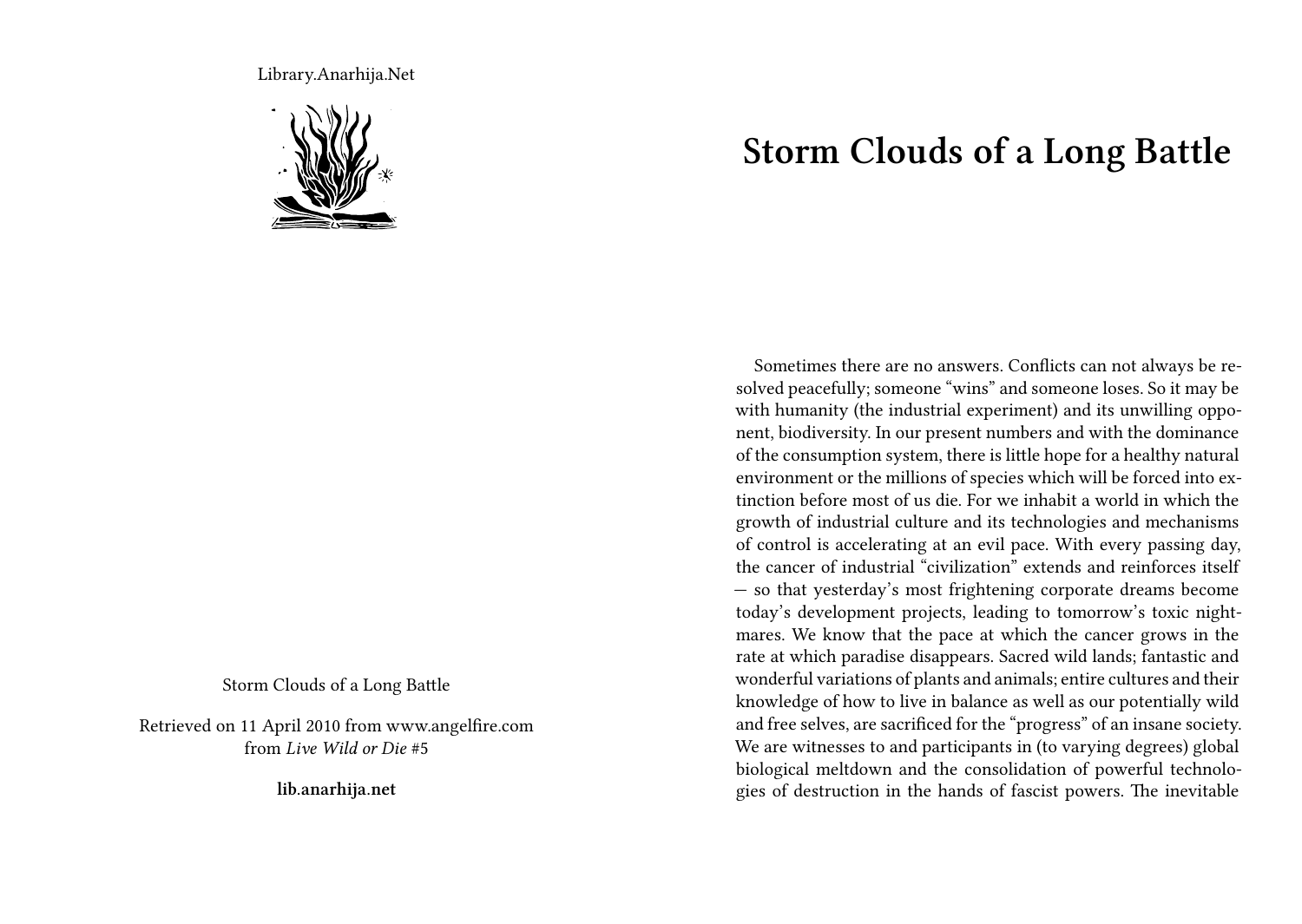Library.Anarhija.Net



Storm Clouds of a Long Battle

Retrieved on 11 April 2010 from www.angelfire.com from *Live Wild or Die* #5

**lib.anarhija.net**

## **Storm Clouds of a Long Battle**

Sometimes there are no answers. Conflicts can not always be resolved peacefully; someone "wins" and someone loses. So it may be with humanity (the industrial experiment) and its unwilling opponent, biodiversity. In our present numbers and with the dominance of the consumption system, there is little hope for a healthy natural environment or the millions of species which will be forced into extinction before most of us die. For we inhabit a world in which the growth of industrial culture and its technologies and mechanisms of control is accelerating at an evil pace. With every passing day, the cancer of industrial "civilization" extends and reinforces itself — so that yesterday's most frightening corporate dreams become today's development projects, leading to tomorrow's toxic nightmares. We know that the pace at which the cancer grows in the rate at which paradise disappears. Sacred wild lands; fantastic and wonderful variations of plants and animals; entire cultures and their knowledge of how to live in balance as well as our potentially wild and free selves, are sacrificed for the "progress" of an insane society. We are witnesses to and participants in (to varying degrees) global biological meltdown and the consolidation of powerful technologies of destruction in the hands of fascist powers. The inevitable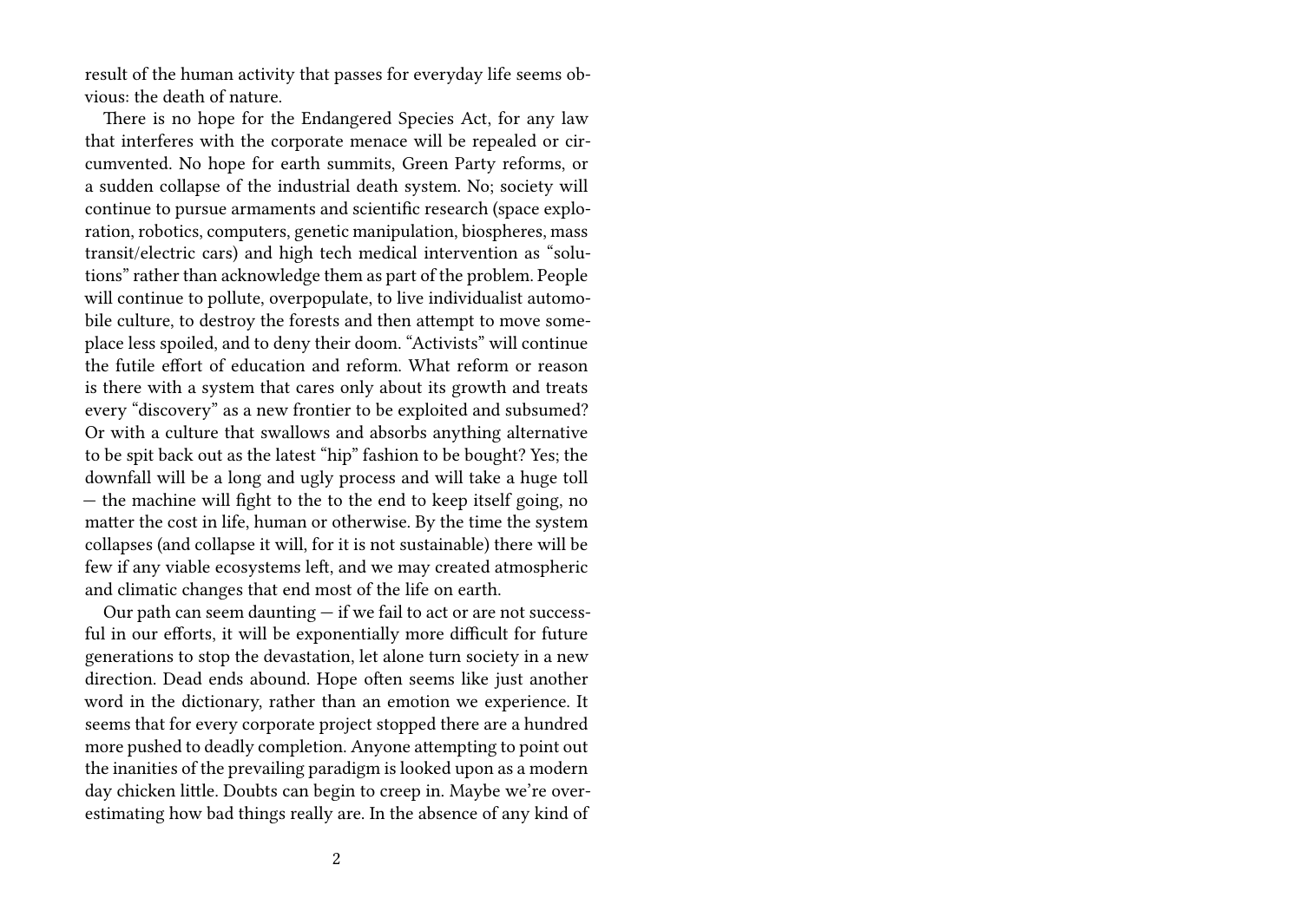result of the human activity that passes for everyday life seems obvious: the death of nature.

There is no hope for the Endangered Species Act, for any law that interferes with the corporate menace will be repealed or circumvented. No hope for earth summits, Green Party reforms, or a sudden collapse of the industrial death system. No; society will continue to pursue armaments and scientific research (space exploration, robotics, computers, genetic manipulation, biospheres, mass transit/electric cars) and high tech medical intervention as "solutions" rather than acknowledge them as part of the problem. People will continue to pollute, overpopulate, to live individualist automobile culture, to destroy the forests and then attempt to move someplace less spoiled, and to deny their doom. "Activists" will continue the futile effort of education and reform. What reform or reason is there with a system that cares only about its growth and treats every "discovery" as a new frontier to be exploited and subsumed? Or with a culture that swallows and absorbs anything alternative to be spit back out as the latest "hip" fashion to be bought? Yes; the downfall will be a long and ugly process and will take a huge toll — the machine will fight to the to the end to keep itself going, no matter the cost in life, human or otherwise. By the time the system collapses (and collapse it will, for it is not sustainable) there will be few if any viable ecosystems left, and we may created atmospheric and climatic changes that end most of the life on earth.

Our path can seem daunting — if we fail to act or are not successful in our efforts, it will be exponentially more difficult for future generations to stop the devastation, let alone turn society in a new direction. Dead ends abound. Hope often seems like just another word in the dictionary, rather than an emotion we experience. It seems that for every corporate project stopped there are a hundred more pushed to deadly completion. Anyone attempting to point out the inanities of the prevailing paradigm is looked upon as a modern day chicken little. Doubts can begin to creep in. Maybe we're overestimating how bad things really are. In the absence of any kind of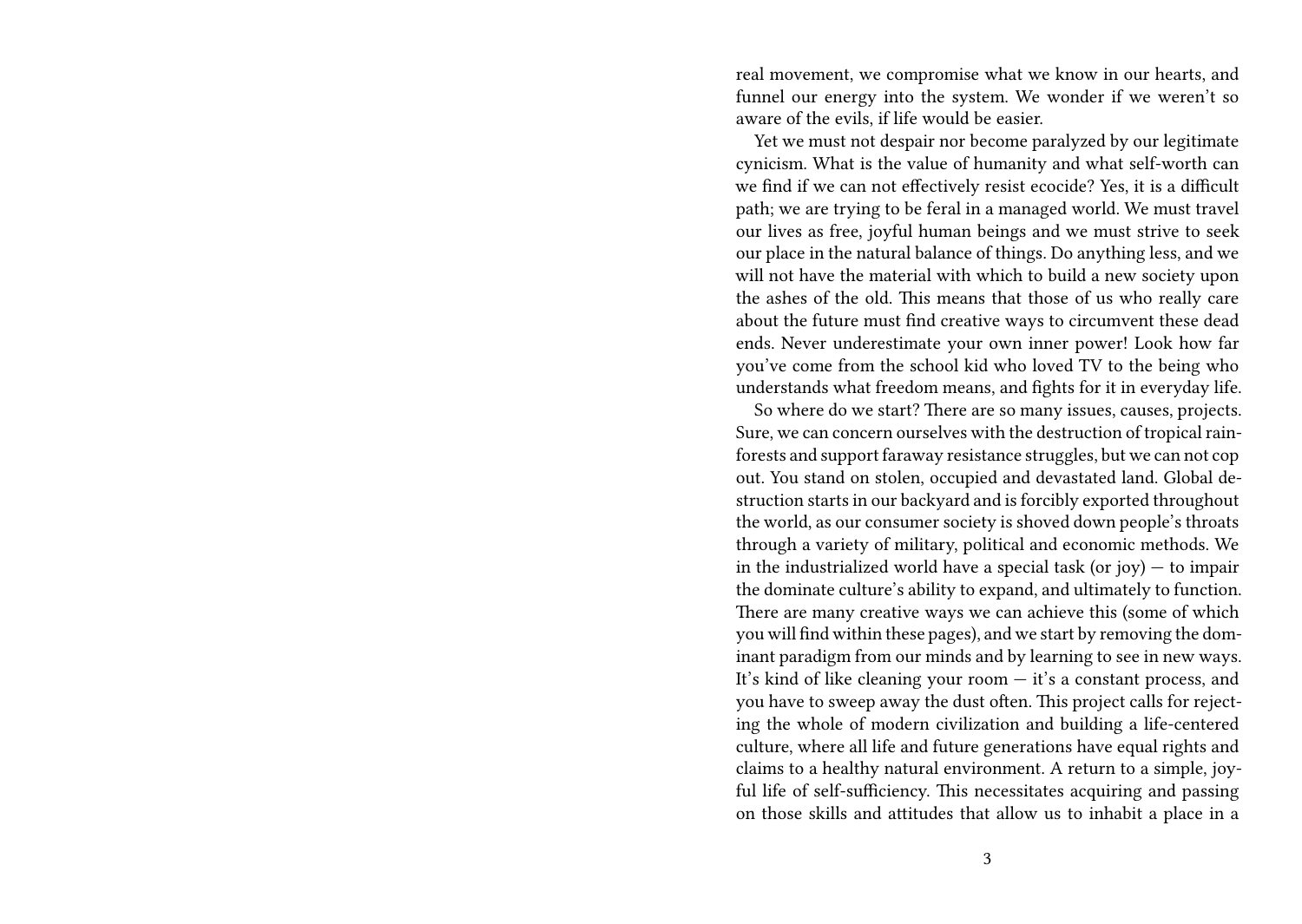real movement, we compromise what we know in our hearts, and funnel our energy into the system. We wonder if we weren't so aware of the evils, if life would be easier.

Yet we must not despair nor become paralyzed by our legitimate cynicism. What is the value of humanity and what self-worth can we find if we can not effectively resist ecocide? Yes, it is a difficult path; we are trying to be feral in a managed world. We must travel our lives as free, joyful human beings and we must strive to seek our place in the natural balance of things. Do anything less, and we will not have the material with which to build a new society upon the ashes of the old. This means that those of us who really care about the future must find creative ways to circumvent these dead ends. Never underestimate your own inner power! Look how far you've come from the school kid who loved TV to the being who understands what freedom means, and fights for it in everyday life.

So where do we start? There are so many issues, causes, projects. Sure, we can concern ourselves with the destruction of tropical rainforests and support faraway resistance struggles, but we can not cop out. You stand on stolen, occupied and devastated land. Global destruction starts in our backyard and is forcibly exported throughout the world, as our consumer society is shoved down people's throats through a variety of military, political and economic methods. We in the industrialized world have a special task (or joy)  $-$  to impair the dominate culture's ability to expand, and ultimately to function. There are many creative ways we can achieve this (some of which you will find within these pages), and we start by removing the dominant paradigm from our minds and by learning to see in new ways. It's kind of like cleaning your room — it's a constant process, and you have to sweep away the dust often. This project calls for rejecting the whole of modern civilization and building a life-centered culture, where all life and future generations have equal rights and claims to a healthy natural environment. A return to a simple, joyful life of self-sufficiency. This necessitates acquiring and passing on those skills and attitudes that allow us to inhabit a place in a